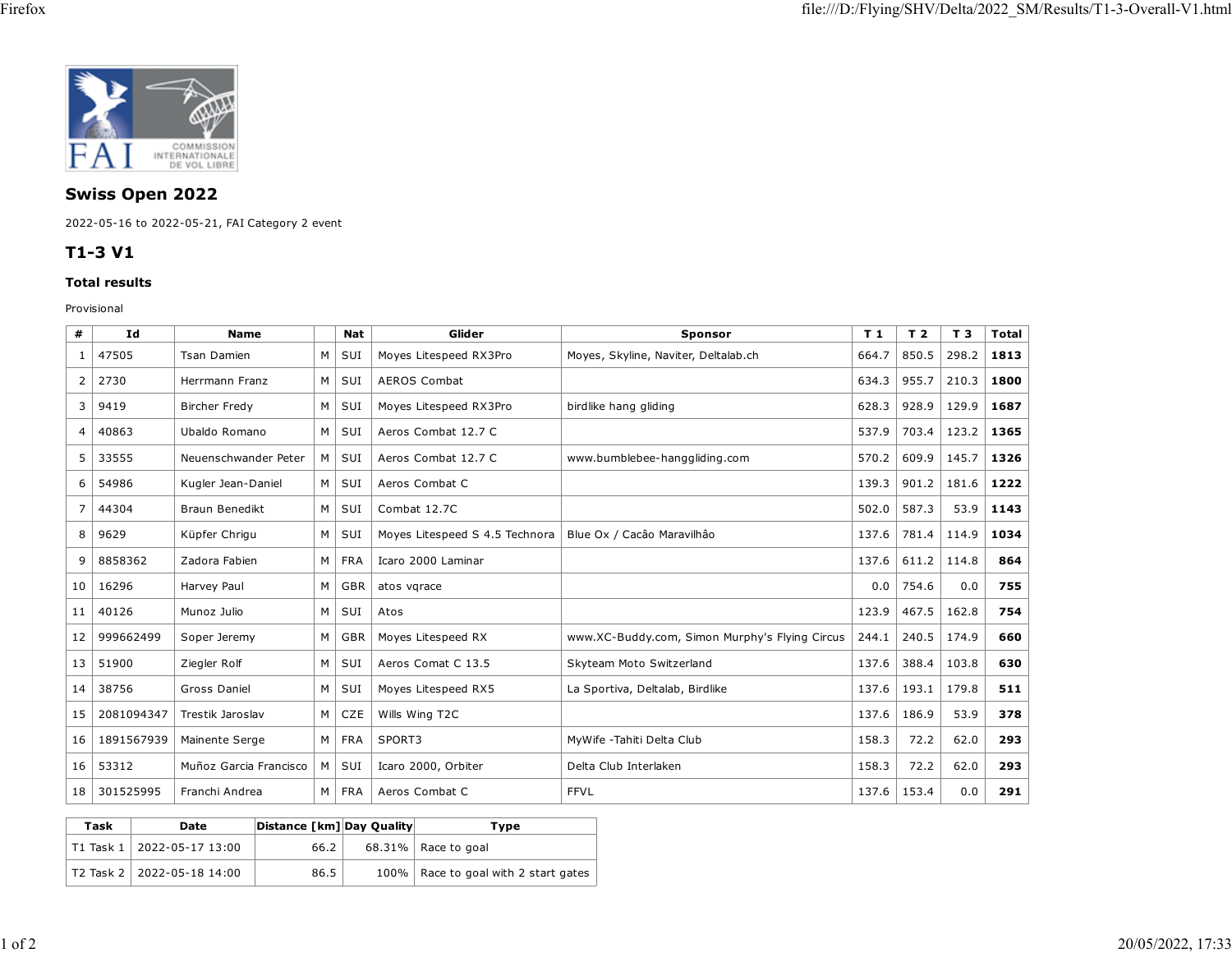

## **Swiss Open 2022**

2022-05-16 to 2022-05-21, FAI Category 2 event

## **T1-3 V1**

## **Total results**

Provisional

| #              | Id         | <b>Name</b>            |   | Nat        | Glider                         | <b>Sponsor</b>                                 | T 1   | T <sub>2</sub> | T 3   | <b>Total</b> |
|----------------|------------|------------------------|---|------------|--------------------------------|------------------------------------------------|-------|----------------|-------|--------------|
| 1              | 47505      | <b>Tsan Damien</b>     | M | SUI        | Moyes Litespeed RX3Pro         | Moyes, Skyline, Naviter, Deltalab.ch           | 664.7 | 850.5          | 298.2 | 1813         |
| 2              | 2730       | Herrmann Franz         | M | SUI        | <b>AEROS Combat</b>            |                                                | 634.3 | 955.7          | 210.3 | 1800         |
| 3              | 9419       | <b>Bircher Fredy</b>   | M | SUI        | Moyes Litespeed RX3Pro         | birdlike hang gliding                          | 628.3 | 928.9          | 129.9 | 1687         |
| $\overline{4}$ | 40863      | Ubaldo Romano          | M | SUI        | Aeros Combat 12.7 C            |                                                | 537.9 | 703.4          | 123.2 | 1365         |
| 5              | 33555      | Neuenschwander Peter   | м | SUI        | Aeros Combat 12.7 C            | www.bumblebee-hanggliding.com                  | 570.2 | 609.9          | 145.7 | 1326         |
| 6              | 54986      | Kugler Jean-Daniel     | M | SUI        | Aeros Combat C                 |                                                | 139.3 | 901.2          | 181.6 | 1222         |
| $\overline{7}$ | 44304      | <b>Braun Benedikt</b>  | M | SUI        | Combat 12.7C                   |                                                | 502.0 | 587.3          | 53.9  | 1143         |
| 8              | 9629       | Küpfer Chrigu          | М | SUI        | Moyes Litespeed S 4.5 Technora | Blue Ox / Cacâo Maravilhão                     | 137.6 | 781.4          | 114.9 | 1034         |
| 9              | 8858362    | Zadora Fabien          | M | <b>FRA</b> | Icaro 2000 Laminar             |                                                | 137.6 | 611.2          | 114.8 | 864          |
| 10             | 16296      | Harvey Paul            | M | <b>GBR</b> | atos vgrace                    |                                                | 0.0   | 754.6          | 0.0   | 755          |
| 11             | 40126      | Munoz Julio            | M | SUI        | Atos                           |                                                |       | 467.5          | 162.8 | 754          |
| 12             | 999662499  | Soper Jeremy           | M | <b>GBR</b> | Moyes Litespeed RX             | www.XC-Buddy.com, Simon Murphy's Flying Circus | 244.1 | 240.5          | 174.9 | 660          |
| 13             | 51900      | Ziegler Rolf           | M | SUI        | Aeros Comat C 13.5             | Skyteam Moto Switzerland                       | 137.6 | 388.4          | 103.8 | 630          |
| 14             | 38756      | Gross Daniel           | M | SUI        | Moyes Litespeed RX5            | La Sportiva, Deltalab, Birdlike                | 137.6 | 193.1          | 179.8 | 511          |
| 15             | 2081094347 | Trestik Jaroslav       | M | CZE        | Wills Wing T2C                 |                                                | 137.6 | 186.9          | 53.9  | 378          |
| 16             | 1891567939 | Mainente Serge         | M | <b>FRA</b> | SPORT3                         | MyWife -Tahiti Delta Club                      | 158.3 | 72.2           | 62.0  | 293          |
| 16             | 53312      | Muñoz Garcia Francisco | M | SUI        | Icaro 2000, Orbiter            | Delta Club Interlaken                          | 158.3 | 72.2           | 62.0  | 293          |
| 18             | 301525995  | Franchi Andrea         | M | <b>FRA</b> | Aeros Combat C                 | <b>FFVL</b>                                    | 137.6 | 153.4          | 0.0   | 291          |

| Task | Date                               | Distance [km] Day Quality | Tvpe                                   |
|------|------------------------------------|---------------------------|----------------------------------------|
|      | $ $ T1 Task 1 $ $ 2022-05-17 13:00 | 66.2                      | $68.31\%$ Race to goal                 |
|      | T2 Task 2   2022-05-18 14:00       | 86.5                      | 100%   Race to goal with 2 start gates |